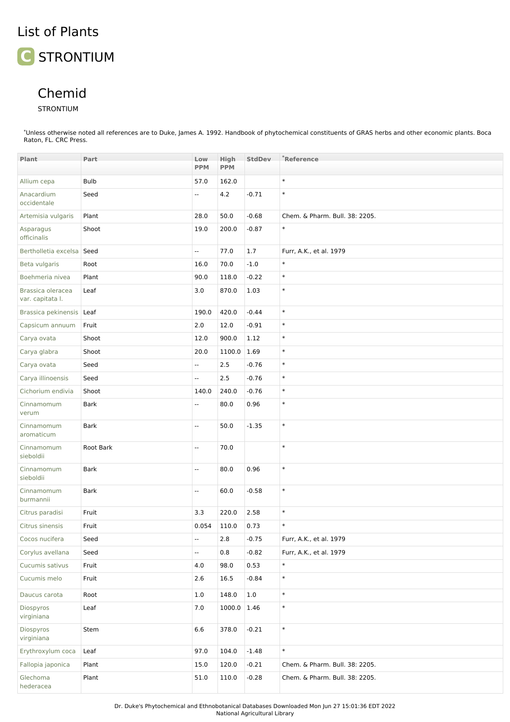## List of Plants



## Chemid

STRONTIUM

\*Unless otherwise noted all references are to Duke, James A. 1992. Handbook of phytochemical constituents of GRAS herbs and other economic plants. Boca Raton, FL. CRC Press.

| Plant                                 | Part        | Low<br><b>PPM</b>         | High<br><b>PPM</b> | StdDev  | *Reference                     |
|---------------------------------------|-------------|---------------------------|--------------------|---------|--------------------------------|
| Allium cepa                           | Bulb        | 57.0                      | 162.0              |         | $\ast$                         |
| Anacardium<br>occidentale             | Seed        | н.                        | 4.2                | $-0.71$ | $\ast$                         |
| Artemisia vulgaris                    | Plant       | 28.0                      | 50.0               | $-0.68$ | Chem. & Pharm. Bull. 38: 2205. |
| Asparagus<br>officinalis              | Shoot       | 19.0                      | 200.0              | $-0.87$ | $\ast$                         |
| Bertholletia excelsa Seed             |             | $\overline{\phantom{a}}$  | 77.0               | 1.7     | Furr, A.K., et al. 1979        |
| Beta vulgaris                         | Root        | 16.0                      | 70.0               | $-1.0$  | $\ast$                         |
| Boehmeria nivea                       | Plant       | 90.0                      | 118.0              | $-0.22$ | $\ast$                         |
| Brassica oleracea<br>var. capitata I. | Leaf        | 3.0                       | 870.0              | 1.03    | $\ast$                         |
| Brassica pekinensis Leaf              |             | 190.0                     | 420.0              | $-0.44$ | $\ast$                         |
| Capsicum annuum                       | Fruit       | 2.0                       | 12.0               | $-0.91$ | $\ast$                         |
| Carya ovata                           | Shoot       | 12.0                      | 900.0              | 1.12    | $\ast$                         |
| Carya glabra                          | Shoot       | 20.0                      | 1100.0             | 1.69    | $\ast$                         |
| Carya ovata                           | Seed        | ÷.                        | 2.5                | $-0.76$ | $\ast$                         |
| Carya illinoensis                     | Seed        | $\mathbb{L}^{\mathbb{L}}$ | 2.5                | $-0.76$ | $\ast$                         |
| Cichorium endivia                     | Shoot       | 140.0                     | 240.0              | $-0.76$ | $\ast$                         |
| Cinnamomum<br>verum                   | <b>Bark</b> | $\overline{\phantom{a}}$  | 80.0               | 0.96    | $\ast$                         |
| Cinnamomum<br>aromaticum              | <b>Bark</b> | $\overline{\phantom{a}}$  | 50.0               | $-1.35$ | $\ast$                         |
| Cinnamomum<br>sieboldii               | Root Bark   | $\overline{\phantom{a}}$  | 70.0               |         | $\ast$                         |
| Cinnamomum<br>sieboldii               | Bark        | $\overline{\phantom{a}}$  | 80.0               | 0.96    | $\ast$                         |
| Cinnamomum<br>burmannii               | Bark        | $\overline{\phantom{a}}$  | 60.0               | $-0.58$ | $\ast$                         |
| Citrus paradisi                       | Fruit       | 3.3                       | 220.0              | 2.58    | $\ast$                         |
| Citrus sinensis                       | Fruit       | 0.054                     | 110.0              | 0.73    | $\ast$                         |
| Cocos nucifera                        | Seed        | $\mathbb{L}^{\mathbb{L}}$ | 2.8                | $-0.75$ | Furr, A.K., et al. 1979        |
| Corylus avellana                      | Seed        | $\sim$                    | 0.8                | $-0.82$ | Furr, A.K., et al. 1979        |
| Cucumis sativus                       | Fruit       | 4.0                       | 98.0               | 0.53    | $\ast$                         |
| Cucumis melo                          | Fruit       | 2.6                       | 16.5               | $-0.84$ | $\ast$                         |
| Daucus carota                         | Root        | $1.0\,$                   | 148.0              | 1.0     | $\ast$                         |
| Diospyros<br>virginiana               | Leaf        | 7.0                       | 1000.0             | 1.46    | $\ast$                         |
| Diospyros<br>virginiana               | Stem        | 6.6                       | 378.0              | $-0.21$ | $\ast$                         |
| Erythroxylum coca                     | Leaf        | 97.0                      | 104.0              | $-1.48$ | $\ast$                         |
| Fallopia japonica                     | Plant       | 15.0                      | 120.0              | $-0.21$ | Chem. & Pharm. Bull. 38: 2205. |
| Glechoma<br>hederacea                 | Plant       | 51.0                      | 110.0              | $-0.28$ | Chem. & Pharm. Bull. 38: 2205. |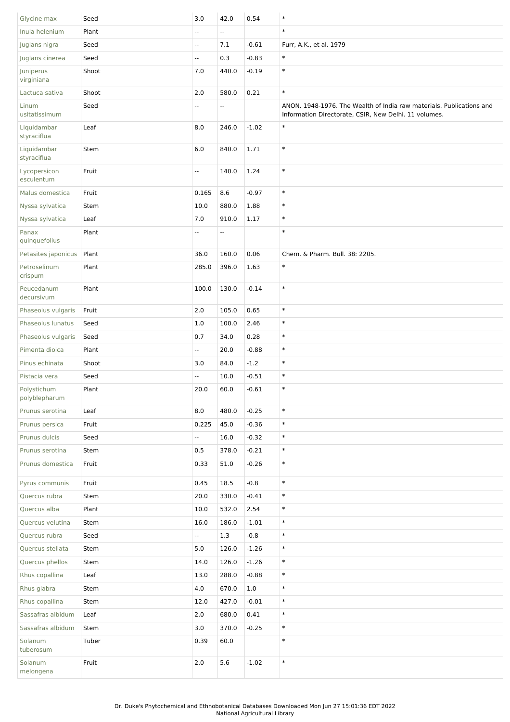| Glycine max                | Seed  | 3.0            | 42.0                     | 0.54    | $\ast$                                                                                                                        |
|----------------------------|-------|----------------|--------------------------|---------|-------------------------------------------------------------------------------------------------------------------------------|
| Inula helenium             | Plant | $\mathbf{u}$   | u.                       |         | $\ast$                                                                                                                        |
| Juglans nigra              | Seed  | $\mathbb{L}$   | 7.1                      | $-0.61$ | Furr, A.K., et al. 1979                                                                                                       |
| Juglans cinerea            | Seed  | Ξ.             | 0.3                      | $-0.83$ | $\ast$                                                                                                                        |
| Juniperus<br>virginiana    | Shoot | 7.0            | 440.0                    | $-0.19$ | $\ast$                                                                                                                        |
| Lactuca sativa             | Shoot | 2.0            | 580.0                    | 0.21    | $\ast$                                                                                                                        |
| Linum<br>usitatissimum     | Seed  | Ξ.             | Ξ.                       |         | ANON. 1948-1976. The Wealth of India raw materials. Publications and<br>Information Directorate, CSIR, New Delhi. 11 volumes. |
| Liquidambar<br>styraciflua | Leaf  | 8.0            | 246.0                    | $-1.02$ | $\ast$                                                                                                                        |
| Liquidambar<br>styraciflua | Stem  | 6.0            | 840.0                    | 1.71    | $\ast$                                                                                                                        |
| Lycopersicon<br>esculentum | Fruit | $\mathbb{Z}^2$ | 140.0                    | 1.24    | $\ast$                                                                                                                        |
| Malus domestica            | Fruit | 0.165          | 8.6                      | $-0.97$ | $\ast$                                                                                                                        |
| Nyssa sylvatica            | Stem  | 10.0           | 880.0                    | 1.88    | $\ast$                                                                                                                        |
| Nyssa sylvatica            | Leaf  | 7.0            | 910.0                    | 1.17    | $\ast$                                                                                                                        |
| Panax                      | Plant | $\frac{1}{2}$  | $\overline{\phantom{a}}$ |         | $\ast$                                                                                                                        |
| quinquefolius              |       |                |                          |         |                                                                                                                               |
| Petasites japonicus        | Plant | 36.0           | 160.0                    | 0.06    | Chem. & Pharm. Bull. 38: 2205.                                                                                                |
| Petroselinum<br>crispum    | Plant | 285.0          | 396.0                    | 1.63    | $\ast$                                                                                                                        |
| Peucedanum<br>decursivum   | Plant | 100.0          | 130.0                    | $-0.14$ | $\ast$                                                                                                                        |
| Phaseolus vulgaris         | Fruit | 2.0            | 105.0                    | 0.65    | $\ast$                                                                                                                        |
| Phaseolus lunatus          | Seed  | 1.0            | 100.0                    | 2.46    | $\ast$                                                                                                                        |
| Phaseolus vulgaris         | Seed  | 0.7            | 34.0                     | 0.28    | $\ast$                                                                                                                        |
| Pimenta dioica             | Plant | $\sim$         | 20.0                     | $-0.88$ | $\ast$                                                                                                                        |
| Pinus echinata             | Shoot | 3.0            | 84.0                     | $-1.2$  | $\ast$                                                                                                                        |
| Pistacia vera              | Seed  | u.             | 10.0                     | $-0.51$ | $\ast$                                                                                                                        |
| Polystichum                | Plant | 20.0           | 60.0                     | $-0.61$ | $\ast$                                                                                                                        |
| polyblepharum              |       |                |                          |         |                                                                                                                               |
| Prunus serotina            | Leaf  | 8.0            | 480.0                    | $-0.25$ | $\ast$                                                                                                                        |
| Prunus persica             | Fruit | 0.225          | 45.0                     | $-0.36$ | $\ast$                                                                                                                        |
| Prunus dulcis              | Seed  | $\sim$         | 16.0                     | $-0.32$ | $\ast$                                                                                                                        |
| Prunus serotina            | Stem  | 0.5            | 378.0                    | $-0.21$ | $\ast$                                                                                                                        |
| Prunus domestica           | Fruit | 0.33           | 51.0                     | $-0.26$ | $\ast$                                                                                                                        |
| Pyrus communis             | Fruit | 0.45           | 18.5                     | $-0.8$  | $\ast$                                                                                                                        |
| Quercus rubra              | Stem  | 20.0           | 330.0                    | $-0.41$ | $\ast$                                                                                                                        |
| Quercus alba               | Plant | 10.0           | 532.0                    | 2.54    | $\ast$                                                                                                                        |
| Quercus velutina           | Stem  | 16.0           | 186.0                    | $-1.01$ | $\ast$                                                                                                                        |
| Quercus rubra              | Seed  | Щ.             | 1.3                      | $-0.8$  | $\ast$                                                                                                                        |
| Quercus stellata           | Stem  | 5.0            | 126.0                    | $-1.26$ | $\ast$                                                                                                                        |
| Quercus phellos            | Stem  | 14.0           | 126.0                    | $-1.26$ | $\ast$                                                                                                                        |
| Rhus copallina             | Leaf  | 13.0           | 288.0                    | $-0.88$ | $\ast$                                                                                                                        |
| Rhus glabra                | Stem  | 4.0            | 670.0                    | 1.0     | $\ast$                                                                                                                        |
| Rhus copallina             | Stem  | 12.0           | 427.0                    | $-0.01$ | $\ast$                                                                                                                        |
| Sassafras albidum          | Leaf  | 2.0            | 680.0                    | 0.41    | $\ast$                                                                                                                        |
| Sassafras albidum          | Stem  | 3.0            | 370.0                    | $-0.25$ | $\ast$                                                                                                                        |
| Solanum                    | Tuber | 0.39           | 60.0                     |         | $\ast$                                                                                                                        |
| tuberosum                  |       |                |                          |         |                                                                                                                               |
| Solanum<br>melongena       | Fruit | $2.0\,$        | $5.6\,$                  | $-1.02$ | $\ast$                                                                                                                        |